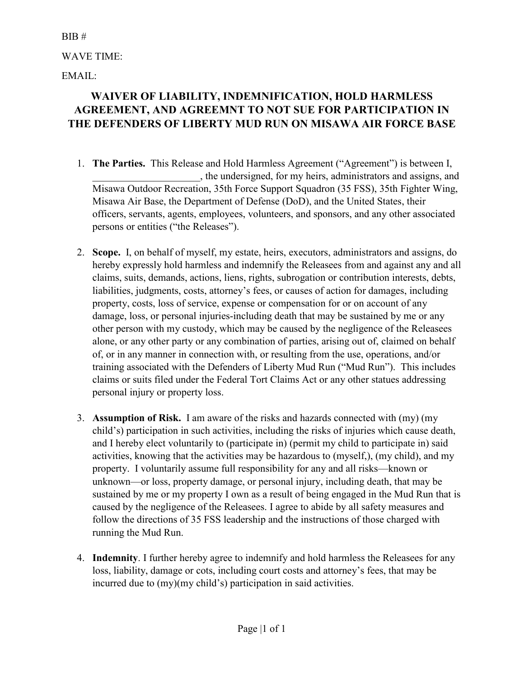## BIB #

WAVE TIME:

EMAIL:

## **WAIVER OF LIABILITY, INDEMNIFICATION, HOLD HARMLESS AGREEMENT, AND AGREEMNT TO NOT SUE FOR PARTICIPATION IN THE DEFENDERS OF LIBERTY MUD RUN ON MISAWA AIR FORCE BASE**

- 1. **The Parties.** This Release and Hold Harmless Agreement ("Agreement") is between I, \_\_\_\_\_\_\_\_\_\_\_\_\_\_\_\_\_\_\_\_\_, the undersigned, for my heirs, administrators and assigns, and Misawa Outdoor Recreation, 35th Force Support Squadron (35 FSS), 35th Fighter Wing, Misawa Air Base, the Department of Defense (DoD), and the United States, their officers, servants, agents, employees, volunteers, and sponsors, and any other associated persons or entities ("the Releases").
- 2. **Scope.** I, on behalf of myself, my estate, heirs, executors, administrators and assigns, do hereby expressly hold harmless and indemnify the Releasees from and against any and all claims, suits, demands, actions, liens, rights, subrogation or contribution interests, debts, liabilities, judgments, costs, attorney's fees, or causes of action for damages, including property, costs, loss of service, expense or compensation for or on account of any damage, loss, or personal injuries-including death that may be sustained by me or any other person with my custody, which may be caused by the negligence of the Releasees alone, or any other party or any combination of parties, arising out of, claimed on behalf of, or in any manner in connection with, or resulting from the use, operations, and/or training associated with the Defenders of Liberty Mud Run ("Mud Run"). This includes claims or suits filed under the Federal Tort Claims Act or any other statues addressing personal injury or property loss.
- 3. **Assumption of Risk.** I am aware of the risks and hazards connected with (my) (my child's) participation in such activities, including the risks of injuries which cause death, and I hereby elect voluntarily to (participate in) (permit my child to participate in) said activities, knowing that the activities may be hazardous to (myself,), (my child), and my property. I voluntarily assume full responsibility for any and all risks—known or unknown—or loss, property damage, or personal injury, including death, that may be sustained by me or my property I own as a result of being engaged in the Mud Run that is caused by the negligence of the Releasees. I agree to abide by all safety measures and follow the directions of 35 FSS leadership and the instructions of those charged with running the Mud Run.
- 4. **Indemnity**. I further hereby agree to indemnify and hold harmless the Releasees for any loss, liability, damage or cots, including court costs and attorney's fees, that may be incurred due to (my)(my child's) participation in said activities.